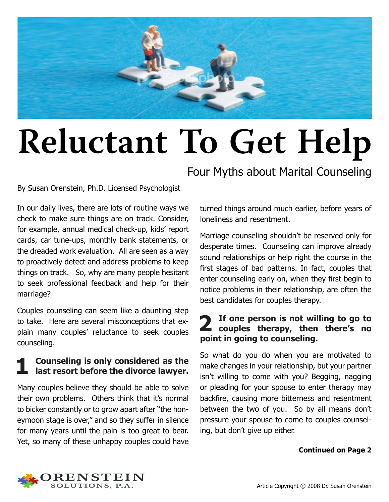

# **Reluctant To Get Help**

By Susan Orenstein, Ph.D. Licensed Psychologist

In our daily lives, there are lots of routine ways we check to make sure things are on track. Consider, for example, annual medical check-up, kids' report cards, car tune-ups, monthly bank statements, or the dreaded work evaluation. All are seen as a way to proactively detect and address problems to keep things on track. So, why are many people hesitant to seek professional feedback and help for their marriage?

Couples counseling can seem like a daunting step to take. Here are several misconceptions that explain many couples' reluctance to seek couples counseling.

# **1 Counseling is only considered as the last resort before the divorce lawyer.**

Many couples believe they should be able to solve their own problems. Others think that it's normal to bicker constantly or to grow apart after "the honeymoon stage is over," and so they suffer in silence for many years until the pain is too great to bear. Yet, so many of these unhappy couples could have

Four Myths about Marital Counseling

turned things around much earlier, before years of loneliness and resentment.

Marriage counseling shouldn't be reserved only for desperate times. Counseling can improve already sound relationships or help right the course in the first stages of bad patterns. In fact, couples that enter counseling early on, when they first begin to notice problems in their relationship, are often the best candidates for couples therapy.

### **2 If one person is not willing to go to couples therapy, then there's no point in going to counseling.**

So what do you do when you are motivated to make changes in your relationship, but your partner isn't willing to come with you? Begging, nagging or pleading for your spouse to enter therapy may backfire, causing more bitterness and resentment between the two of you. So by all means don't pressure your spouse to come to couples counseling, but don't give up either.

#### **Continued on Page 2**